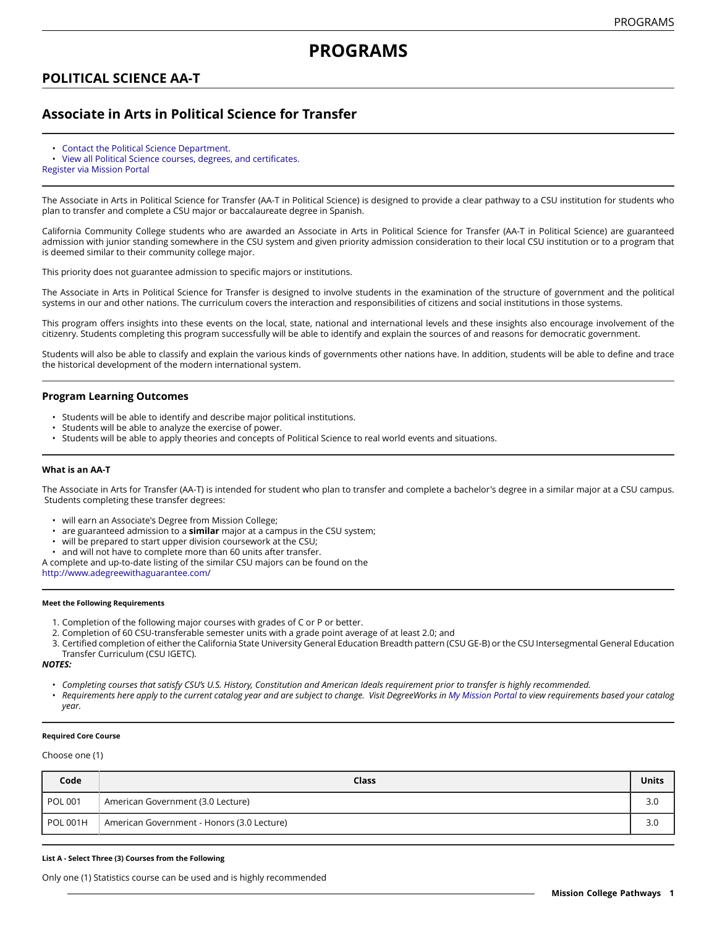# **POLITICAL SCIENCE AA-T**

## **Associate in Arts in Political Science for Transfer**

- [Contact the Political Science Department.](https://missioncollege.edu/depts/political-science/)
- View all Political Science courses, degrees, and [certificates.](http://majors.missioncollege.edu/current/courses/pol.html)
- [Register via Mission Portal](https://web.wvm.edu/)

The Associate in Arts in Political Science for Transfer (AA-T in Political Science) is designed to provide a clear pathway to a CSU institution for students who plan to transfer and complete a CSU major or baccalaureate degree in Spanish.

California Community College students who are awarded an Associate in Arts in Political Science for Transfer (AA-T in Political Science) are guaranteed admission with junior standing somewhere in the CSU system and given priority admission consideration to their local CSU institution or to a program that is deemed similar to their community college major.

This priority does not guarantee admission to specific majors or institutions.

The Associate in Arts in Political Science for Transfer is designed to involve students in the examination of the structure of government and the political systems in our and other nations. The curriculum covers the interaction and responsibilities of citizens and social institutions in those systems.

This program offers insights into these events on the local, state, national and international levels and these insights also encourage involvement of the citizenry. Students completing this program successfully will be able to identify and explain the sources of and reasons for democratic government.

Students will also be able to classify and explain the various kinds of governments other nations have. In addition, students will be able to define and trace the historical development of the modern international system.

### **Program Learning Outcomes**

- Students will be able to identify and describe major political institutions.
- Students will be able to analyze the exercise of power.
- Students will be able to apply theories and concepts of Political Science to real world events and situations.

### **What is an AA-T**

The Associate in Arts for Transfer (AA-T) is intended for student who plan to transfer and complete a bachelor's degree in a similar major at a CSU campus. Students completing these transfer degrees:

- will earn an Associate's Degree from Mission College;
- are guaranteed admission to a **similar** major at a campus in the CSU system;
- will be prepared to start upper division coursework at the CSU;
- and will not have to complete more than 60 units after transfer.

A complete and up-to-date listing of the similar CSU majors can be found on the

[http://www.adegreewithaguarantee.com](http://www.adegreewithaguarantee.com/)/

### **Meet the Following Requirements**

- 1. Completion of the following major courses with grades of C or P or better.
- 2. Completion of 60 CSU-transferable semester units with a grade point average of at least 2.0; and
- 3. Certified completion of either the California State University General Education Breadth pattern (CSU GE-B) or the CSU Intersegmental General Education Transfer Curriculum (CSU IGETC).

*NOTES:*

- Completing courses that satisfy CSU's U.S. History, Constitution and American Ideals requirement prior to transfer is highly recommended.
- Requirements here apply to the current catalog year and are subject to change. Visit DegreeWorks in [My Mission Portal](https://wvmccd.sharepoint.com/sites/MCPortal) to view requirements based your catalog *year.*

### **Required Core Course**

Choose one (1)

| Code            | Class                                      | Units |
|-----------------|--------------------------------------------|-------|
| <b>POL 001</b>  | American Government (3.0 Lecture)          | 3.0   |
| <b>POL 001H</b> | American Government - Honors (3.0 Lecture) | 3.0   |

#### **List A - Select Three (3) Courses from the Following**

Only one (1) Statistics course can be used and is highly recommended